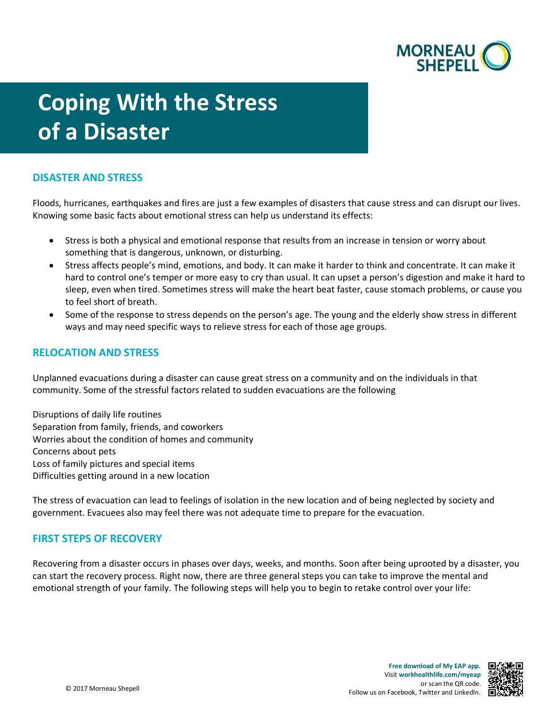

# **Coping With the Stress of a Disaster**

## **DISASTER AND STRESS**

Floods, hurricanes, earthquakes and fires are just a few examples of disasters that cause stress and can disrupt our lives. Knowing some basic facts about emotional stress can help us understand its effects:

- Stress is both a physical and emotional response that results from an increase in tension or worry about something that is dangerous, unknown, or disturbing.
- Stress affects people's mind, emotions, and body. It can make it harder to think and concentrate. It can make it hard to control one's temper or more easy to cry than usual. It can upset a person's digestion and make it hard to sleep, even when tired. Sometimes stress will make the heart beat faster, cause stomach problems, or cause you to feel short of breath.
- Some of the response to stress depends on the person's age. The young and the elderly show stress in different ways and may need specific ways to relieve stress for each of those age groups.

## **RELOCATION AND STRESS**

Unplanned evacuations during a disaster can cause great stress on a community and on the individuals in that community. Some of the stressful factors related to sudden evacuations are the following

Disruptions of daily life routines Separation from family, friends, and coworkers Worries about the condition of homes and community Concerns about pets Loss of family pictures and special items Difficulties getting around in a new location

The stress of evacuation can lead to feelings of isolation in the new location and of being neglected by society and government. Evacuees also may feel there was not adequate time to prepare for the evacuation.

#### **FIRST STEPS OF RECOVERY**

Recovering from a disaster occurs in phases over days, weeks, and months. Soon after being uprooted by a disaster, you can start the recovery process. Right now, there are three general steps you can take to improve the mental and emotional strength of your family. The following steps will help you to begin to retake control over your life:

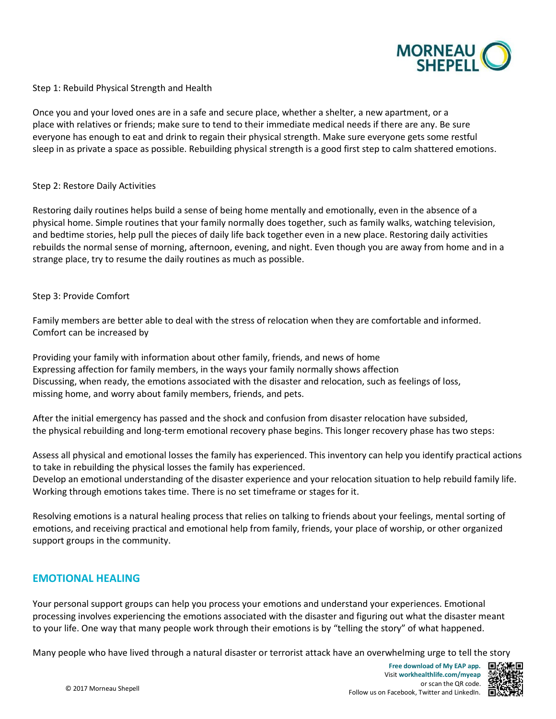

Step 1: Rebuild Physical Strength and Health

Once you and your loved ones are in a safe and secure place, whether a shelter, a new apartment, or a place with relatives or friends; make sure to tend to their immediate medical needs if there are any. Be sure everyone has enough to eat and drink to regain their physical strength. Make sure everyone gets some restful sleep in as private a space as possible. Rebuilding physical strength is a good first step to calm shattered emotions.

#### Step 2: Restore Daily Activities

Restoring daily routines helps build a sense of being home mentally and emotionally, even in the absence of a physical home. Simple routines that your family normally does together, such as family walks, watching television, and bedtime stories, help pull the pieces of daily life back together even in a new place. Restoring daily activities rebuilds the normal sense of morning, afternoon, evening, and night. Even though you are away from home and in a strange place, try to resume the daily routines as much as possible.

#### Step 3: Provide Comfort

Family members are better able to deal with the stress of relocation when they are comfortable and informed. Comfort can be increased by

Providing your family with information about other family, friends, and news of home Expressing affection for family members, in the ways your family normally shows affection Discussing, when ready, the emotions associated with the disaster and relocation, such as feelings of loss, missing home, and worry about family members, friends, and pets.

After the initial emergency has passed and the shock and confusion from disaster relocation have subsided, the physical rebuilding and long-term emotional recovery phase begins. This longer recovery phase has two steps:

Assess all physical and emotional losses the family has experienced. This inventory can help you identify practical actions to take in rebuilding the physical losses the family has experienced.

Develop an emotional understanding of the disaster experience and your relocation situation to help rebuild family life. Working through emotions takes time. There is no set timeframe or stages for it.

Resolving emotions is a natural healing process that relies on talking to friends about your feelings, mental sorting of emotions, and receiving practical and emotional help from family, friends, your place of worship, or other organized support groups in the community.

#### **EMOTIONAL HEALING**

Your personal support groups can help you process your emotions and understand your experiences. Emotional processing involves experiencing the emotions associated with the disaster and figuring out what the disaster meant to your life. One way that many people work through their emotions is by "telling the story" of what happened.

Many people who have lived through a natural disaster or terrorist attack have an overwhelming urge to tell the story

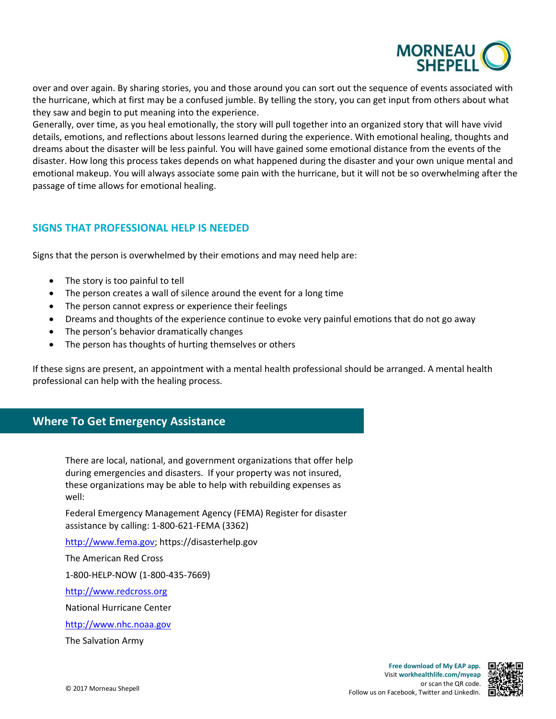

over and over again. By sharing stories, you and those around you can sort out the sequence of events associated with the hurricane, which at first may be a confused jumble. By telling the story, you can get input from others about what they saw and begin to put meaning into the experience.

Generally, over time, as you heal emotionally, the story will pull together into an organized story that will have vivid details, emotions, and reflections about lessons learned during the experience. With emotional healing, thoughts and dreams about the disaster will be less painful. You will have gained some emotional distance from the events of the disaster. How long this process takes depends on what happened during the disaster and your own unique mental and emotional makeup. You will always associate some pain with the hurricane, but it will not be so overwhelming after the passage of time allows for emotional healing.

## **SIGNS THAT PROFESSIONAL HELP IS NEEDED**

Signs that the person is overwhelmed by their emotions and may need help are:

- The story is too painful to tell
- The person creates a wall of silence around the event for a long time
- The person cannot express or experience their feelings
- Dreams and thoughts of the experience continue to evoke very painful emotions that do not go away
- The person's behavior dramatically changes
- The person has thoughts of hurting themselves or others

If these signs are present, an appointment with a mental health professional should be arranged. A mental health professional can help with the healing process.

## **Where To Get Emergency Assistance**

There are local, national, and government organizations that offer help during emergencies and disasters. If your property was not insured, these organizations may be able to help with rebuilding expenses as well:

Federal Emergency Management Agency (FEMA) Register for disaster assistance by calling: 1-800-621-FEMA (3362)

[http://www.fema.gov;](http://www.fema.gov/) <https://disasterhelp.gov>

The American Red Cross

1-800-HELP-NOW (1-800-435-7669)

[http://www.redcross.org](http://www.redcross.org/) 

National Hurricane Center

[http://www.nhc.noaa.gov](http://www.nhc.noaa.gov/) 

The Salvation Army

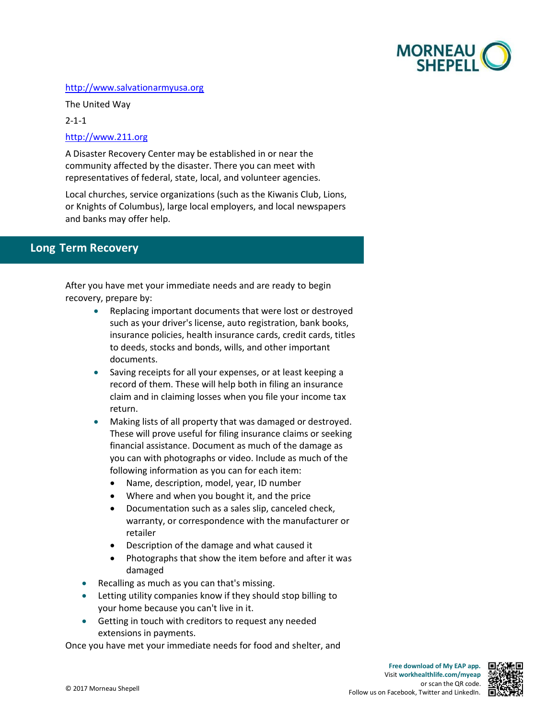

#### [http://www.salvationarmyusa.org](http://www.salvationarmyusa.org/)

The United Way

2-1-1

#### [http://www.211.org](http://www.211.org/)

A Disaster Recovery Center may be established in or near the community affected by the disaster. There you can meet with representatives of federal, state, local, and volunteer agencies.

Local churches, service organizations (such as the Kiwanis Club, Lions, or Knights of Columbus), large local employers, and local newspapers and banks may offer help.

# **- Long Term Recovery**

After you have met your immediate needs and are ready to begin recovery, prepare by:

- Replacing important documents that were lost or destroyed such as your driver's license, auto registration, bank books, insurance policies, health insurance cards, credit cards, titles to deeds, stocks and bonds, wills, and other important documents.
- Saving receipts for all your expenses, or at least keeping a record of them. These will help both in filing an insurance claim and in claiming losses when you file your income tax return.
- These will prove useful for filing insurance claims or seeking • Making lists of all property that was damaged or destroyed. financial assistance. Document as much of the damage as you can with photographs or video. Include as much of the following information as you can for each item:
	- Name, description, model, year, ID number
	- Where and when you bought it, and the price
	- Documentation such as a sales slip, canceled check, warranty, or correspondence with the manufacturer or retailer
	- Description of the damage and what caused it
	- Photographs that show the item before and after it was damaged
- Recalling as much as you can that's missing.
- • Letting utility companies know if they should stop billing to your home because you can't live in it.
- Getting in touch with creditors to request any needed extensions in payments.

Once you have met your immediate needs for food and shelter, and